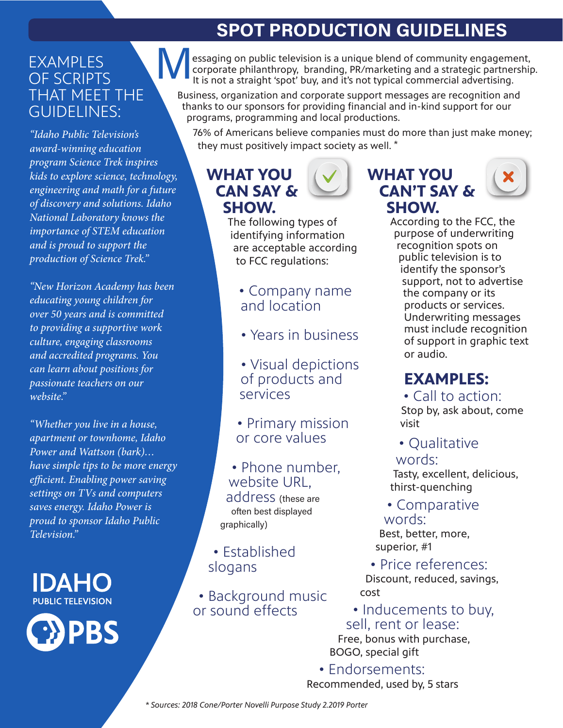# **SPOT PRODUCTION GUIDELINES**

#### **FXAMPLES** OF SCRIPTS THAT MEET THE GUIDELINES:

*"Idaho Public Television's award-winning education program Science Trek inspires kids to explore science, technology, engineering and math for a future of discovery and solutions. Idaho National Laboratory knows the importance of STEM education and is proud to support the production of Science Trek."*

*"New Horizon Academy has been educating young children for over 50 years and is committed to providing a supportive work culture, engaging classrooms and accredited programs. You can learn about positions for passionate teachers on our website."*

*"Whether you live in a house, apartment or townhome, Idaho Power and Wattson (bark)… have simple tips to be more energy efficient. Enabling power saving settings on TVs and computers saves energy. Idaho Power is proud to sponsor Idaho Public Television."*

**IDAHC PUBLIC TELEVISION** 



 essaging on public television is a unique blend of community engagement, corporate philanthropy, branding, PR/marketing and a strategic partnership. It is not a straight 'spot' buy, and it's not typical commercial advertising. M

Business, organization and corporate support messages are recognition and thanks to our sponsors for providing financial and in-kind support for our programs, programming and local productions.

76% of Americans believe companies must do more than just make money; they must positively impact society as well. \*

# **WHAT YOU CAN SAY & SHOW.**

The following types of identifying information are acceptable according to FCC regulations:

- Company name and location
- Years in business
- Visual depictions of products and services
- Primary mission or core values
- Phone number, website URL, address (these are often best displayed

• Established slogans

graphically)

• Background music or sound effects

#### **WHAT YOU CAN'T SAY & SHOW.**



According to the FCC, the purpose of underwriting recognition spots on public television is to identify the sponsor's support, not to advertise the company or its products or services. Underwriting messages must include recognition of support in graphic text or audio.

#### **EXAMPLES:**

• Call to action: Stop by, ask about, come visit

• Qualitative

words: Tasty, excellent, delicious,

thirst-quenching

• Comparative words:

Best, better, more, superior, #1

• Price references:

Discount, reduced, savings, cost

• Inducements to buy, sell, rent or lease:

Free, bonus with purchase, BOGO, special gift

• Endorsements: Recommended, used by, 5 stars